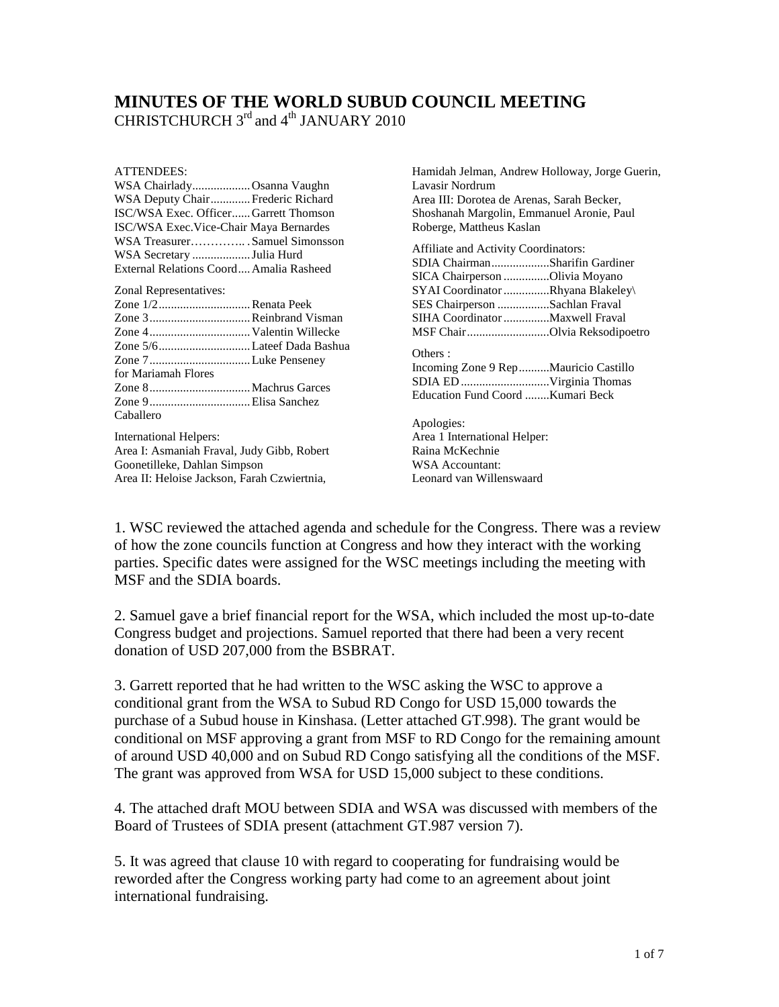## **MINUTES OF THE WORLD SUBUD COUNCIL MEETING** CHRISTCHURCH  $3<sup>rd</sup>$  and  $4<sup>th</sup>$  JANUARY 2010

#### ATTENDEES:

| A L LETVIJE 15.                                                                                                                                                         | Hannuan Jennan, Anurew Honoway, Jorge Ouerm,                                                                        |
|-------------------------------------------------------------------------------------------------------------------------------------------------------------------------|---------------------------------------------------------------------------------------------------------------------|
| WSA ChairladyOsanna Vaughn                                                                                                                                              | Lavasir Nordrum                                                                                                     |
| WSA Deputy Chair Frederic Richard                                                                                                                                       | Area III: Dorotea de Arenas, Sarah Becker,                                                                          |
| ISC/WSA Exec. OfficerGarrett Thomson                                                                                                                                    | Shoshanah Margolin, Emmanuel Aronie, Paul                                                                           |
| ISC/WSA Exec.Vice-Chair Maya Bernardes                                                                                                                                  | Roberge, Mattheus Kaslan                                                                                            |
| WSA TreasurerSamuel Simonsson<br>WSA Secretary Julia Hurd<br>External Relations Coord Amalia Rasheed                                                                    | <b>Affiliate and Activity Coordinators:</b><br>SDIA ChairmanSharifin Gardiner<br>SICA Chairperson Olivia Moyano     |
| Zonal Representatives:                                                                                                                                                  | SYAI Coordinator Rhyana Blakeley\                                                                                   |
| Zone 1/2Renata Peek                                                                                                                                                     | SES Chairperson Sachlan Fraval                                                                                      |
| Zone 3 Reinbrand Visman                                                                                                                                                 | SIHA Coordinator Maxwell Fraval                                                                                     |
|                                                                                                                                                                         | MSF ChairOlvia Reksodipoetro                                                                                        |
| Zone 5/6Lateef Dada Bashua<br>Zone 7Luke Penseney<br>for Mariamah Flores                                                                                                | Others:<br>Incoming Zone 9 Rep  Mauricio Castillo<br>Education Fund Coord Kumari Beck                               |
| Caballero<br><b>International Helpers:</b><br>Area I: Asmaniah Fraval, Judy Gibb, Robert<br>Goonetilleke, Dahlan Simpson<br>Area II: Heloise Jackson, Farah Czwiertnia, | Apologies:<br>Area 1 International Helper:<br>Raina McKechnie<br><b>WSA</b> Accountant:<br>Leonard van Willenswaard |

Hamidah Jelman, Andrew Holloway, Jorge Guerin,

1. WSC reviewed the attached agenda and schedule for the Congress. There was a review of how the zone councils function at Congress and how they interact with the working parties. Specific dates were assigned for the WSC meetings including the meeting with MSF and the SDIA boards.

2. Samuel gave a brief financial report for the WSA, which included the most up-to-date Congress budget and projections. Samuel reported that there had been a very recent donation of USD 207,000 from the BSBRAT.

3. Garrett reported that he had written to the WSC asking the WSC to approve a conditional grant from the WSA to Subud RD Congo for USD 15,000 towards the purchase of a Subud house in Kinshasa. (Letter attached GT.998). The grant would be conditional on MSF approving a grant from MSF to RD Congo for the remaining amount of around USD 40,000 and on Subud RD Congo satisfying all the conditions of the MSF. The grant was approved from WSA for USD 15,000 subject to these conditions.

4. The attached draft MOU between SDIA and WSA was discussed with members of the Board of Trustees of SDIA present (attachment GT.987 version 7).

5. It was agreed that clause 10 with regard to cooperating for fundraising would be reworded after the Congress working party had come to an agreement about joint international fundraising.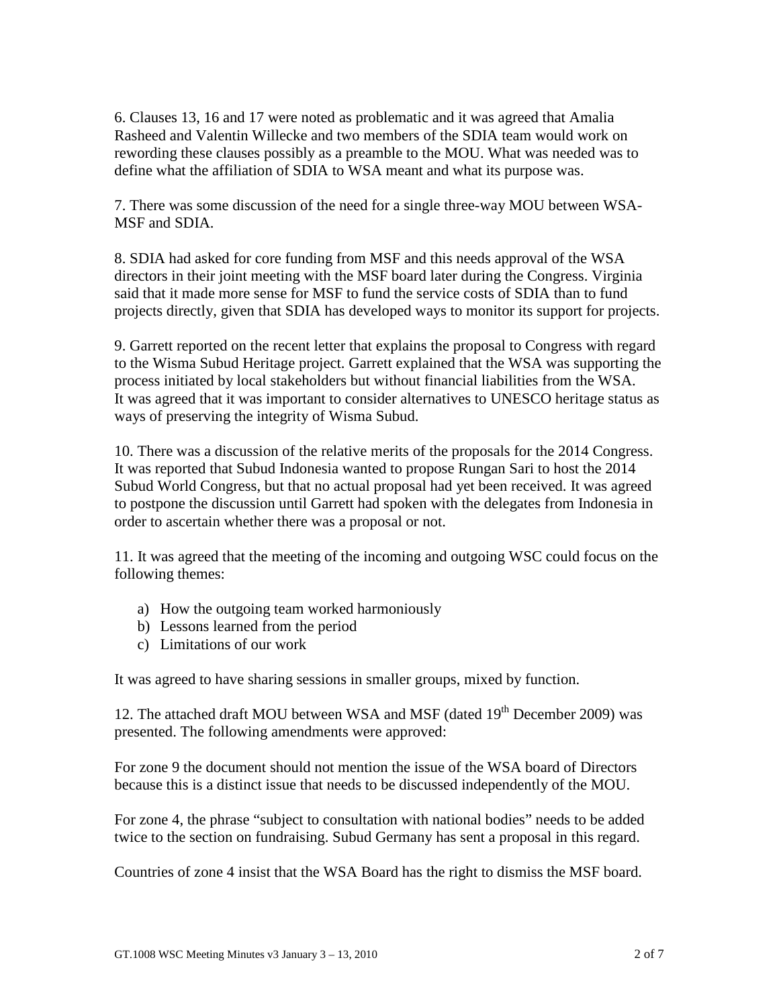6. Clauses 13, 16 and 17 were noted as problematic and it was agreed that Amalia Rasheed and Valentin Willecke and two members of the SDIA team would work on rewording these clauses possibly as a preamble to the MOU. What was needed was to define what the affiliation of SDIA to WSA meant and what its purpose was.

7. There was some discussion of the need for a single three-way MOU between WSA-MSF and SDIA.

8. SDIA had asked for core funding from MSF and this needs approval of the WSA directors in their joint meeting with the MSF board later during the Congress. Virginia said that it made more sense for MSF to fund the service costs of SDIA than to fund projects directly, given that SDIA has developed ways to monitor its support for projects.

9. Garrett reported on the recent letter that explains the proposal to Congress with regard to the Wisma Subud Heritage project. Garrett explained that the WSA was supporting the process initiated by local stakeholders but without financial liabilities from the WSA. It was agreed that it was important to consider alternatives to UNESCO heritage status as ways of preserving the integrity of Wisma Subud.

10. There was a discussion of the relative merits of the proposals for the 2014 Congress. It was reported that Subud Indonesia wanted to propose Rungan Sari to host the 2014 Subud World Congress, but that no actual proposal had yet been received. It was agreed to postpone the discussion until Garrett had spoken with the delegates from Indonesia in order to ascertain whether there was a proposal or not.

11. It was agreed that the meeting of the incoming and outgoing WSC could focus on the following themes:

- a) How the outgoing team worked harmoniously
- b) Lessons learned from the period
- c) Limitations of our work

It was agreed to have sharing sessions in smaller groups, mixed by function.

12. The attached draft MOU between WSA and MSF (dated  $19<sup>th</sup>$  December 2009) was presented. The following amendments were approved:

For zone 9 the document should not mention the issue of the WSA board of Directors because this is a distinct issue that needs to be discussed independently of the MOU.

For zone 4, the phrase "subject to consultation with national bodies" needs to be added twice to the section on fundraising. Subud Germany has sent a proposal in this regard.

Countries of zone 4 insist that the WSA Board has the right to dismiss the MSF board.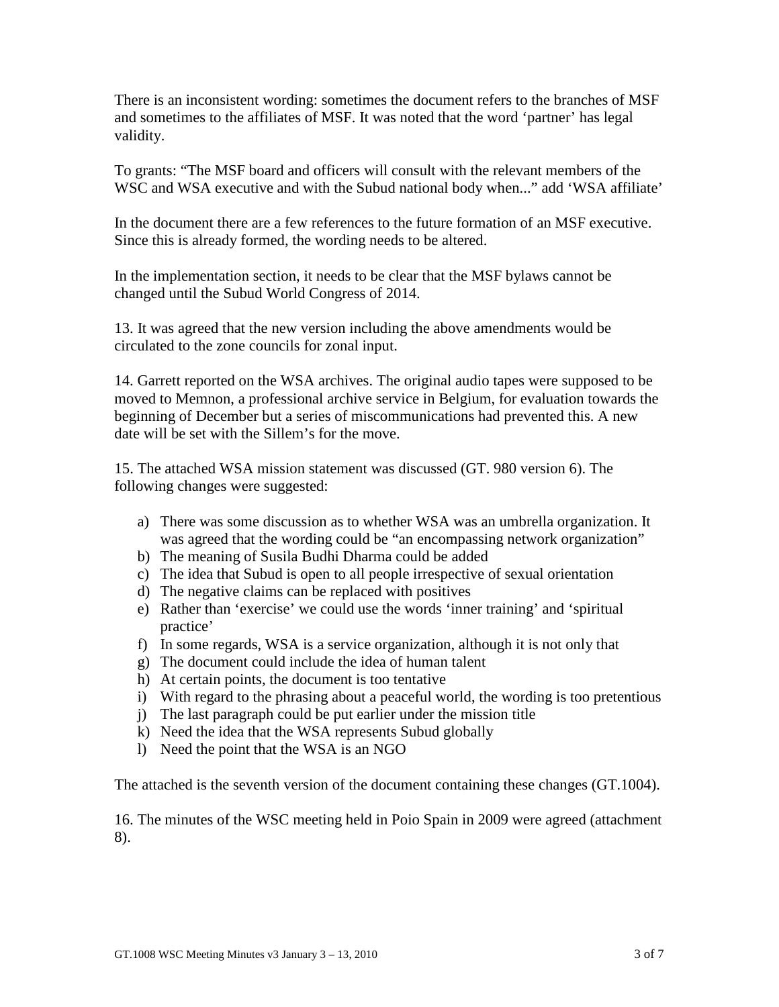There is an inconsistent wording: sometimes the document refers to the branches of MSF and sometimes to the affiliates of MSF. It was noted that the word 'partner' has legal validity.

To grants: "The MSF board and officers will consult with the relevant members of the WSC and WSA executive and with the Subud national body when..." add 'WSA affiliate'

In the document there are a few references to the future formation of an MSF executive. Since this is already formed, the wording needs to be altered.

In the implementation section, it needs to be clear that the MSF bylaws cannot be changed until the Subud World Congress of 2014.

13. It was agreed that the new version including the above amendments would be circulated to the zone councils for zonal input.

14. Garrett reported on the WSA archives. The original audio tapes were supposed to be moved to Memnon, a professional archive service in Belgium, for evaluation towards the beginning of December but a series of miscommunications had prevented this. A new date will be set with the Sillem's for the move.

15. The attached WSA mission statement was discussed (GT. 980 version 6). The following changes were suggested:

- a) There was some discussion as to whether WSA was an umbrella organization. It was agreed that the wording could be "an encompassing network organization"
- b) The meaning of Susila Budhi Dharma could be added
- c) The idea that Subud is open to all people irrespective of sexual orientation
- d) The negative claims can be replaced with positives
- e) Rather than 'exercise' we could use the words 'inner training' and 'spiritual practice'
- f) In some regards, WSA is a service organization, although it is not only that
- g) The document could include the idea of human talent
- h) At certain points, the document is too tentative
- i) With regard to the phrasing about a peaceful world, the wording is too pretentious
- j) The last paragraph could be put earlier under the mission title
- k) Need the idea that the WSA represents Subud globally
- l) Need the point that the WSA is an NGO

The attached is the seventh version of the document containing these changes (GT.1004).

16. The minutes of the WSC meeting held in Poio Spain in 2009 were agreed (attachment 8).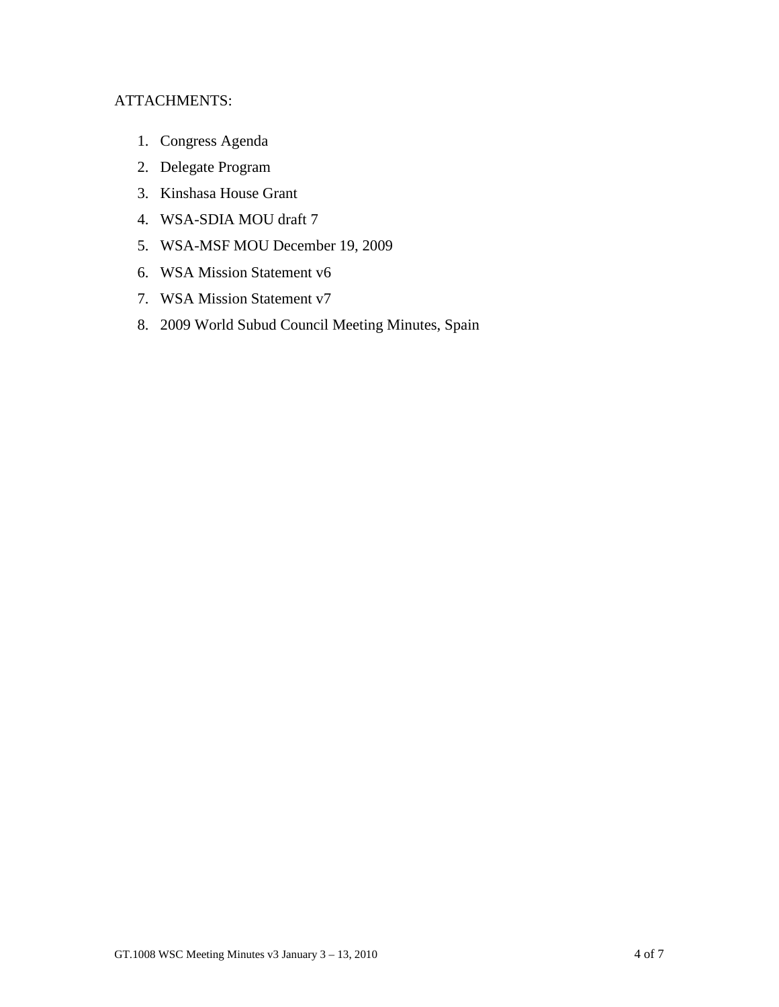## ATTACHMENTS:

- 1. Congress Agenda
- 2. Delegate Program
- 3. Kinshasa House Grant
- 4. WSA-SDIA MOU draft 7
- 5. WSA-MSF MOU December 19, 2009
- 6. WSA Mission Statement v6
- 7. WSA Mission Statement v7
- 8. 2009 World Subud Council Meeting Minutes, Spain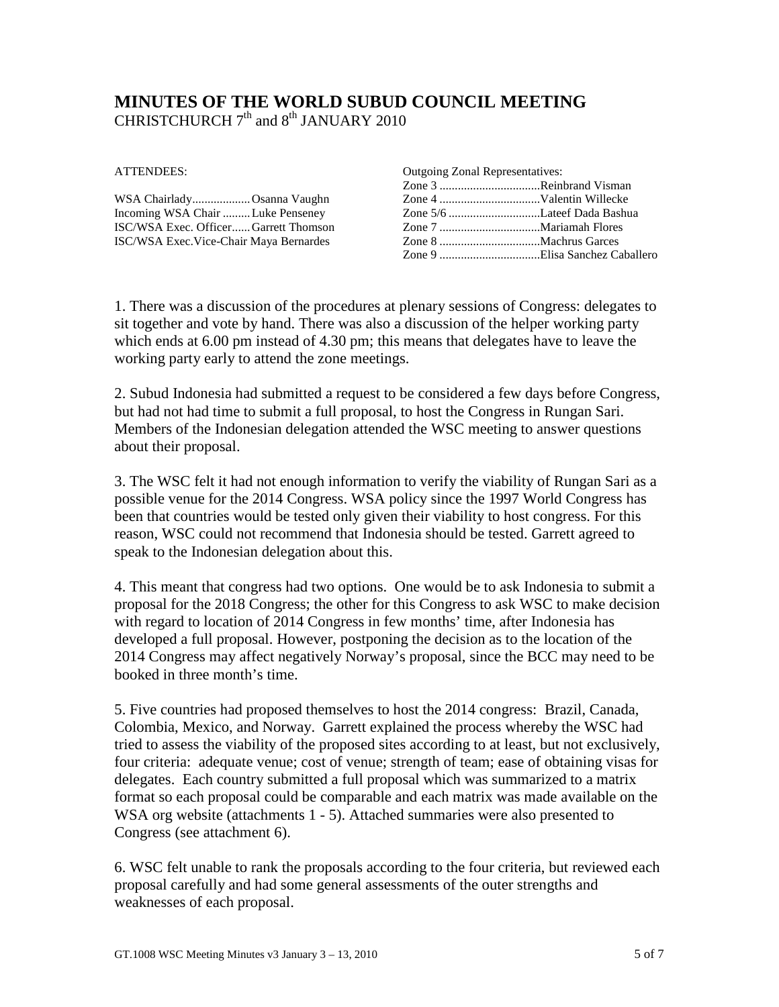# **MINUTES OF THE WORLD SUBUD COUNCIL MEETING** CHRISTCHURCH  $7<sup>th</sup>$  and  $8<sup>th</sup>$  JANUARY 2010

ATTENDEES:

| WSA ChairladyOsanna Vaughn              |  |
|-----------------------------------------|--|
| Incoming WSA Chair  Luke Penseney       |  |
| ISC/WSA Exec. OfficerGarrett Thomson    |  |
| ISC/WSA Exec. Vice-Chair Maya Bernardes |  |

| <b>Outgoing Zonal Representatives:</b> |  |
|----------------------------------------|--|
| Zone 3 Reinbrand Visman                |  |
|                                        |  |
|                                        |  |
|                                        |  |
|                                        |  |
|                                        |  |

1. There was a discussion of the procedures at plenary sessions of Congress: delegates to sit together and vote by hand. There was also a discussion of the helper working party which ends at 6.00 pm instead of 4.30 pm; this means that delegates have to leave the working party early to attend the zone meetings.

2. Subud Indonesia had submitted a request to be considered a few days before Congress, but had not had time to submit a full proposal, to host the Congress in Rungan Sari. Members of the Indonesian delegation attended the WSC meeting to answer questions about their proposal.

3. The WSC felt it had not enough information to verify the viability of Rungan Sari as a possible venue for the 2014 Congress. WSA policy since the 1997 World Congress has been that countries would be tested only given their viability to host congress. For this reason, WSC could not recommend that Indonesia should be tested. Garrett agreed to speak to the Indonesian delegation about this.

4. This meant that congress had two options. One would be to ask Indonesia to submit a proposal for the 2018 Congress; the other for this Congress to ask WSC to make decision with regard to location of 2014 Congress in few months' time, after Indonesia has developed a full proposal. However, postponing the decision as to the location of the 2014 Congress may affect negatively Norway's proposal, since the BCC may need to be booked in three month's time.

5. Five countries had proposed themselves to host the 2014 congress: Brazil, Canada, Colombia, Mexico, and Norway. Garrett explained the process whereby the WSC had tried to assess the viability of the proposed sites according to at least, but not exclusively, four criteria: adequate venue; cost of venue; strength of team; ease of obtaining visas for delegates. Each country submitted a full proposal which was summarized to a matrix format so each proposal could be comparable and each matrix was made available on the WSA org website (attachments 1 - 5). Attached summaries were also presented to Congress (see attachment 6).

6. WSC felt unable to rank the proposals according to the four criteria, but reviewed each proposal carefully and had some general assessments of the outer strengths and weaknesses of each proposal.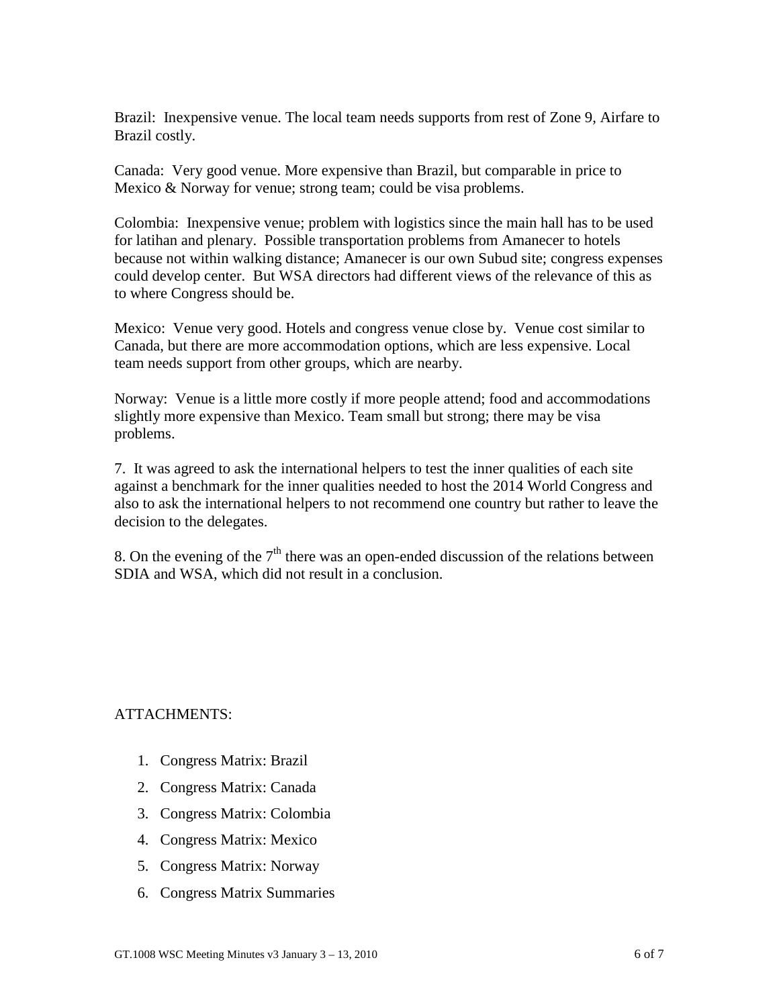Brazil: Inexpensive venue. The local team needs supports from rest of Zone 9, Airfare to Brazil costly.

Canada: Very good venue. More expensive than Brazil, but comparable in price to Mexico & Norway for venue; strong team; could be visa problems.

Colombia: Inexpensive venue; problem with logistics since the main hall has to be used for latihan and plenary. Possible transportation problems from Amanecer to hotels because not within walking distance; Amanecer is our own Subud site; congress expenses could develop center. But WSA directors had different views of the relevance of this as to where Congress should be.

Mexico: Venue very good. Hotels and congress venue close by. Venue cost similar to Canada, but there are more accommodation options, which are less expensive. Local team needs support from other groups, which are nearby.

Norway: Venue is a little more costly if more people attend; food and accommodations slightly more expensive than Mexico. Team small but strong; there may be visa problems.

7. It was agreed to ask the international helpers to test the inner qualities of each site against a benchmark for the inner qualities needed to host the 2014 World Congress and also to ask the international helpers to not recommend one country but rather to leave the decision to the delegates.

8. On the evening of the  $7<sup>th</sup>$  there was an open-ended discussion of the relations between SDIA and WSA, which did not result in a conclusion.

### ATTACHMENTS:

- 1. Congress Matrix: Brazil
- 2. Congress Matrix: Canada
- 3. Congress Matrix: Colombia
- 4. Congress Matrix: Mexico
- 5. Congress Matrix: Norway
- 6. Congress Matrix Summaries